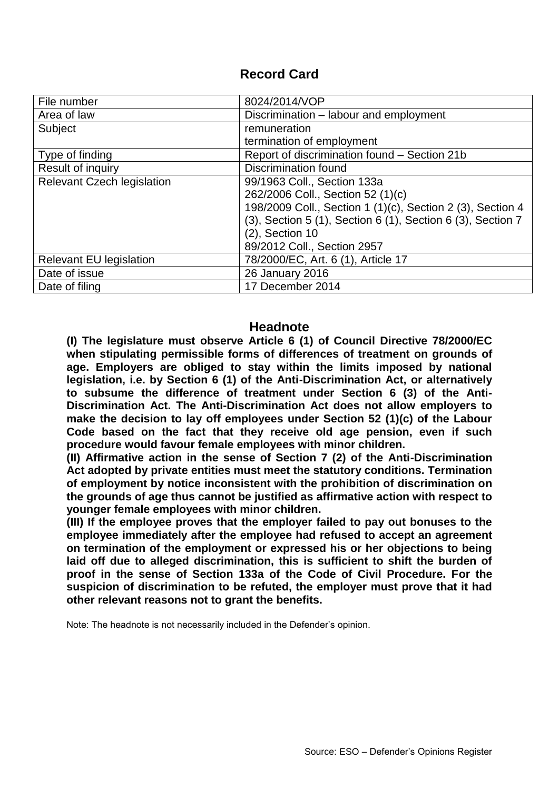# **Record Card**

| File number                       | 8024/2014/VOP                                               |
|-----------------------------------|-------------------------------------------------------------|
| Area of law                       | Discrimination – labour and employment                      |
| Subject                           | remuneration                                                |
|                                   | termination of employment                                   |
| Type of finding                   | Report of discrimination found - Section 21b                |
| Result of inquiry                 | Discrimination found                                        |
| <b>Relevant Czech legislation</b> | 99/1963 Coll., Section 133a                                 |
|                                   | 262/2006 Coll., Section 52 (1)(c)                           |
|                                   | 198/2009 Coll., Section 1 (1)(c), Section 2 (3), Section 4  |
|                                   | (3), Section 5 (1), Section 6 (1), Section 6 (3), Section 7 |
|                                   | $(2)$ , Section 10                                          |
|                                   | 89/2012 Coll., Section 2957                                 |
| <b>Relevant EU legislation</b>    | 78/2000/EC, Art. 6 (1), Article 17                          |
| Date of issue                     | 26 January 2016                                             |
| Date of filing                    | 17 December 2014                                            |

#### **Headnote**

**(I) The legislature must observe Article 6 (1) of Council Directive 78/2000/EC when stipulating permissible forms of differences of treatment on grounds of age. Employers are obliged to stay within the limits imposed by national legislation, i.e. by Section 6 (1) of the Anti-Discrimination Act, or alternatively to subsume the difference of treatment under Section 6 (3) of the Anti-Discrimination Act. The Anti-Discrimination Act does not allow employers to make the decision to lay off employees under Section 52 (1)(c) of the Labour Code based on the fact that they receive old age pension, even if such procedure would favour female employees with minor children.**

**(II) Affirmative action in the sense of Section 7 (2) of the Anti-Discrimination Act adopted by private entities must meet the statutory conditions. Termination of employment by notice inconsistent with the prohibition of discrimination on the grounds of age thus cannot be justified as affirmative action with respect to younger female employees with minor children.**

**(III) If the employee proves that the employer failed to pay out bonuses to the employee immediately after the employee had refused to accept an agreement on termination of the employment or expressed his or her objections to being laid off due to alleged discrimination, this is sufficient to shift the burden of proof in the sense of Section 133a of the Code of Civil Procedure. For the suspicion of discrimination to be refuted, the employer must prove that it had other relevant reasons not to grant the benefits.** 

Note: The headnote is not necessarily included in the Defender's opinion.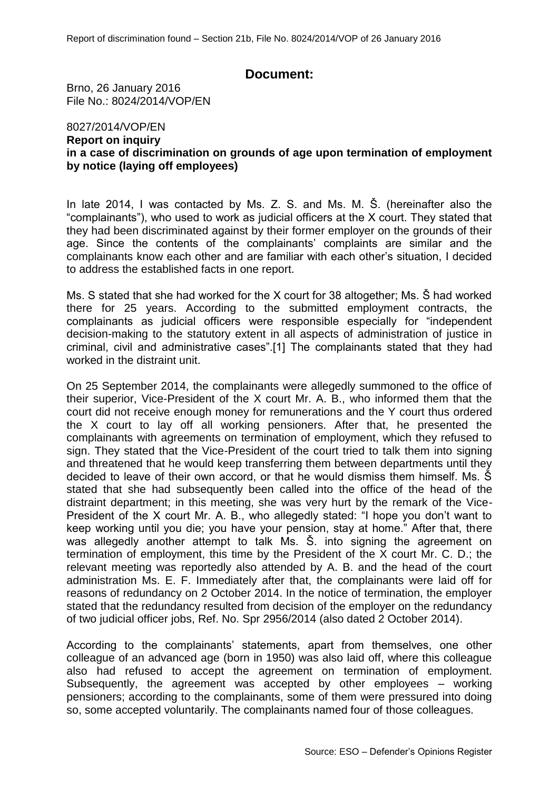#### **Document:**

Brno, 26 January 2016 File No.: 8024/2014/VOP/EN

#### 8027/2014/VOP/EN **Report on inquiry in a case of discrimination on grounds of age upon termination of employment by notice (laying off employees)**

In late 2014, I was contacted by Ms. Z. S. and Ms. M. Š. (hereinafter also the "complainants"), who used to work as judicial officers at the X court. They stated that they had been discriminated against by their former employer on the grounds of their age. Since the contents of the complainants' complaints are similar and the complainants know each other and are familiar with each other's situation, I decided to address the established facts in one report.

Ms. S stated that she had worked for the X court for 38 altogether; Ms. Š had worked there for 25 years. According to the submitted employment contracts, the complainants as judicial officers were responsible especially for "independent decision-making to the statutory extent in all aspects of administration of justice in criminal, civil and administrative cases".[1] The complainants stated that they had worked in the distraint unit.

On 25 September 2014, the complainants were allegedly summoned to the office of their superior, Vice-President of the X court Mr. A. B., who informed them that the court did not receive enough money for remunerations and the Y court thus ordered the X court to lay off all working pensioners. After that, he presented the complainants with agreements on termination of employment, which they refused to sign. They stated that the Vice-President of the court tried to talk them into signing and threatened that he would keep transferring them between departments until they decided to leave of their own accord, or that he would dismiss them himself. Ms. Š stated that she had subsequently been called into the office of the head of the distraint department; in this meeting, she was very hurt by the remark of the Vice-President of the X court Mr. A. B., who allegedly stated: "I hope you don't want to keep working until you die; you have your pension, stay at home." After that, there was allegedly another attempt to talk Ms. Š. into signing the agreement on termination of employment, this time by the President of the X court Mr. C. D.; the relevant meeting was reportedly also attended by A. B. and the head of the court administration Ms. E. F. Immediately after that, the complainants were laid off for reasons of redundancy on 2 October 2014. In the notice of termination, the employer stated that the redundancy resulted from decision of the employer on the redundancy of two judicial officer jobs, Ref. No. Spr 2956/2014 (also dated 2 October 2014).

According to the complainants' statements, apart from themselves, one other colleague of an advanced age (born in 1950) was also laid off, where this colleague also had refused to accept the agreement on termination of employment. Subsequently, the agreement was accepted by other employees – working pensioners; according to the complainants, some of them were pressured into doing so, some accepted voluntarily. The complainants named four of those colleagues.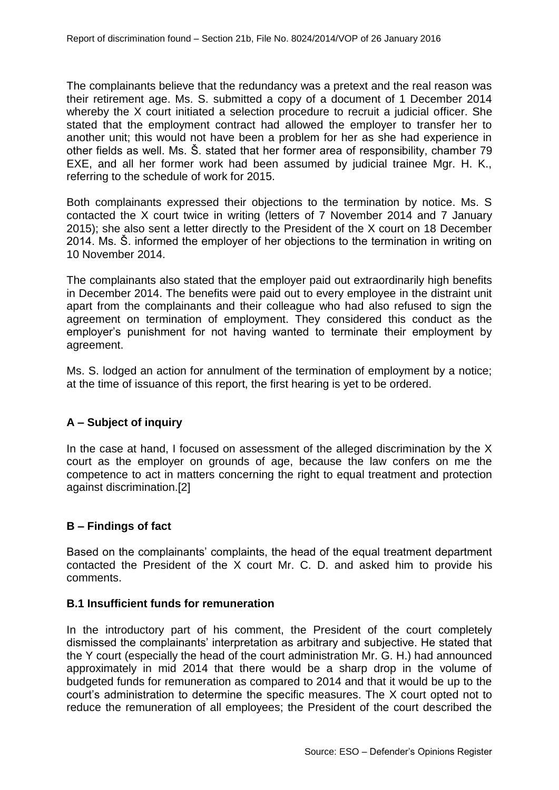The complainants believe that the redundancy was a pretext and the real reason was their retirement age. Ms. S. submitted a copy of a document of 1 December 2014 whereby the X court initiated a selection procedure to recruit a judicial officer. She stated that the employment contract had allowed the employer to transfer her to another unit; this would not have been a problem for her as she had experience in other fields as well. Ms. Š. stated that her former area of responsibility, chamber 79 EXE, and all her former work had been assumed by judicial trainee Mgr. H. K., referring to the schedule of work for 2015.

Both complainants expressed their objections to the termination by notice. Ms. S contacted the X court twice in writing (letters of 7 November 2014 and 7 January 2015); she also sent a letter directly to the President of the X court on 18 December 2014. Ms. Š. informed the employer of her objections to the termination in writing on 10 November 2014.

The complainants also stated that the employer paid out extraordinarily high benefits in December 2014. The benefits were paid out to every employee in the distraint unit apart from the complainants and their colleague who had also refused to sign the agreement on termination of employment. They considered this conduct as the employer's punishment for not having wanted to terminate their employment by agreement.

Ms. S. lodged an action for annulment of the termination of employment by a notice; at the time of issuance of this report, the first hearing is yet to be ordered.

# **A – Subject of inquiry**

In the case at hand, I focused on assessment of the alleged discrimination by the X court as the employer on grounds of age, because the law confers on me the competence to act in matters concerning the right to equal treatment and protection against discrimination.[2]

# **B – Findings of fact**

Based on the complainants' complaints, the head of the equal treatment department contacted the President of the X court Mr. C. D. and asked him to provide his comments.

# **B.1 Insufficient funds for remuneration**

In the introductory part of his comment, the President of the court completely dismissed the complainants' interpretation as arbitrary and subjective. He stated that the Y court (especially the head of the court administration Mr. G. H.) had announced approximately in mid 2014 that there would be a sharp drop in the volume of budgeted funds for remuneration as compared to 2014 and that it would be up to the court's administration to determine the specific measures. The X court opted not to reduce the remuneration of all employees; the President of the court described the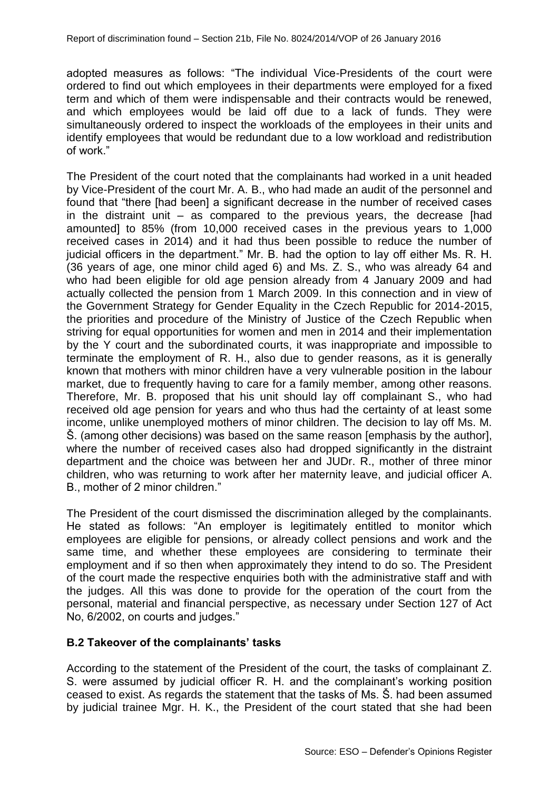adopted measures as follows: "The individual Vice-Presidents of the court were ordered to find out which employees in their departments were employed for a fixed term and which of them were indispensable and their contracts would be renewed, and which employees would be laid off due to a lack of funds. They were simultaneously ordered to inspect the workloads of the employees in their units and identify employees that would be redundant due to a low workload and redistribution of work."

The President of the court noted that the complainants had worked in a unit headed by Vice-President of the court Mr. A. B., who had made an audit of the personnel and found that "there [had been] a significant decrease in the number of received cases in the distraint unit – as compared to the previous years, the decrease [had amounted] to 85% (from 10,000 received cases in the previous years to 1,000 received cases in 2014) and it had thus been possible to reduce the number of judicial officers in the department." Mr. B. had the option to lay off either Ms. R. H. (36 years of age, one minor child aged 6) and Ms. Z. S., who was already 64 and who had been eligible for old age pension already from 4 January 2009 and had actually collected the pension from 1 March 2009. In this connection and in view of the Government Strategy for Gender Equality in the Czech Republic for 2014-2015, the priorities and procedure of the Ministry of Justice of the Czech Republic when striving for equal opportunities for women and men in 2014 and their implementation by the Y court and the subordinated courts, it was inappropriate and impossible to terminate the employment of R. H., also due to gender reasons, as it is generally known that mothers with minor children have a very vulnerable position in the labour market, due to frequently having to care for a family member, among other reasons. Therefore, Mr. B. proposed that his unit should lay off complainant S., who had received old age pension for years and who thus had the certainty of at least some income, unlike unemployed mothers of minor children. The decision to lay off Ms. M. Š. (among other decisions) was based on the same reason [emphasis by the author], where the number of received cases also had dropped significantly in the distraint department and the choice was between her and JUDr. R., mother of three minor children, who was returning to work after her maternity leave, and judicial officer A. B., mother of 2 minor children."

The President of the court dismissed the discrimination alleged by the complainants. He stated as follows: "An employer is legitimately entitled to monitor which employees are eligible for pensions, or already collect pensions and work and the same time, and whether these employees are considering to terminate their employment and if so then when approximately they intend to do so. The President of the court made the respective enquiries both with the administrative staff and with the judges. All this was done to provide for the operation of the court from the personal, material and financial perspective, as necessary under Section 127 of Act No, 6/2002, on courts and judges."

# **B.2 Takeover of the complainants' tasks**

According to the statement of the President of the court, the tasks of complainant Z. S. were assumed by judicial officer R. H. and the complainant's working position ceased to exist. As regards the statement that the tasks of Ms. Š. had been assumed by judicial trainee Mgr. H. K., the President of the court stated that she had been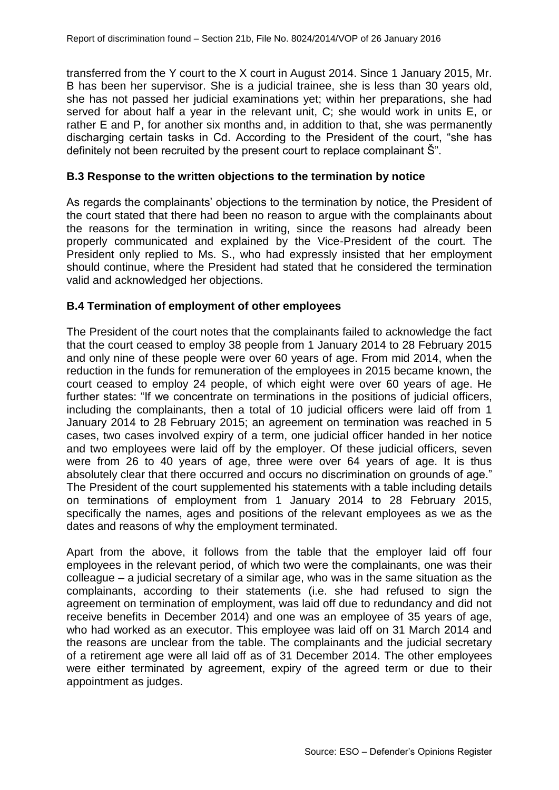transferred from the Y court to the X court in August 2014. Since 1 January 2015, Mr. B has been her supervisor. She is a judicial trainee, she is less than 30 years old, she has not passed her judicial examinations yet; within her preparations, she had served for about half a year in the relevant unit, C; she would work in units E, or rather E and P, for another six months and, in addition to that, she was permanently discharging certain tasks in Cd. According to the President of the court, "she has definitely not been recruited by the present court to replace complainant Š".

#### **B.3 Response to the written objections to the termination by notice**

As regards the complainants' objections to the termination by notice, the President of the court stated that there had been no reason to argue with the complainants about the reasons for the termination in writing, since the reasons had already been properly communicated and explained by the Vice-President of the court. The President only replied to Ms. S., who had expressly insisted that her employment should continue, where the President had stated that he considered the termination valid and acknowledged her objections.

# **B.4 Termination of employment of other employees**

The President of the court notes that the complainants failed to acknowledge the fact that the court ceased to employ 38 people from 1 January 2014 to 28 February 2015 and only nine of these people were over 60 years of age. From mid 2014, when the reduction in the funds for remuneration of the employees in 2015 became known, the court ceased to employ 24 people, of which eight were over 60 years of age. He further states: "If we concentrate on terminations in the positions of judicial officers, including the complainants, then a total of 10 judicial officers were laid off from 1 January 2014 to 28 February 2015; an agreement on termination was reached in 5 cases, two cases involved expiry of a term, one judicial officer handed in her notice and two employees were laid off by the employer. Of these judicial officers, seven were from 26 to 40 years of age, three were over 64 years of age. It is thus absolutely clear that there occurred and occurs no discrimination on grounds of age." The President of the court supplemented his statements with a table including details on terminations of employment from 1 January 2014 to 28 February 2015, specifically the names, ages and positions of the relevant employees as we as the dates and reasons of why the employment terminated.

Apart from the above, it follows from the table that the employer laid off four employees in the relevant period, of which two were the complainants, one was their colleague – a judicial secretary of a similar age, who was in the same situation as the complainants, according to their statements (i.e. she had refused to sign the agreement on termination of employment, was laid off due to redundancy and did not receive benefits in December 2014) and one was an employee of 35 years of age, who had worked as an executor. This employee was laid off on 31 March 2014 and the reasons are unclear from the table. The complainants and the judicial secretary of a retirement age were all laid off as of 31 December 2014. The other employees were either terminated by agreement, expiry of the agreed term or due to their appointment as judges.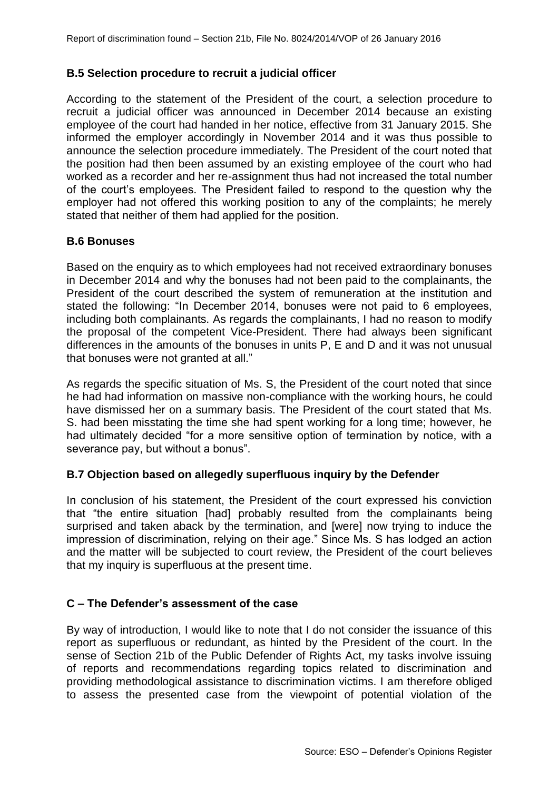#### **B.5 Selection procedure to recruit a judicial officer**

According to the statement of the President of the court, a selection procedure to recruit a judicial officer was announced in December 2014 because an existing employee of the court had handed in her notice, effective from 31 January 2015. She informed the employer accordingly in November 2014 and it was thus possible to announce the selection procedure immediately. The President of the court noted that the position had then been assumed by an existing employee of the court who had worked as a recorder and her re-assignment thus had not increased the total number of the court's employees. The President failed to respond to the question why the employer had not offered this working position to any of the complaints; he merely stated that neither of them had applied for the position.

# **B.6 Bonuses**

Based on the enquiry as to which employees had not received extraordinary bonuses in December 2014 and why the bonuses had not been paid to the complainants, the President of the court described the system of remuneration at the institution and stated the following: "In December 2014, bonuses were not paid to 6 employees, including both complainants. As regards the complainants, I had no reason to modify the proposal of the competent Vice-President. There had always been significant differences in the amounts of the bonuses in units P, E and D and it was not unusual that bonuses were not granted at all."

As regards the specific situation of Ms. S, the President of the court noted that since he had had information on massive non-compliance with the working hours, he could have dismissed her on a summary basis. The President of the court stated that Ms. S. had been misstating the time she had spent working for a long time; however, he had ultimately decided "for a more sensitive option of termination by notice, with a severance pay, but without a bonus".

# **B.7 Objection based on allegedly superfluous inquiry by the Defender**

In conclusion of his statement, the President of the court expressed his conviction that "the entire situation [had] probably resulted from the complainants being surprised and taken aback by the termination, and [were] now trying to induce the impression of discrimination, relying on their age." Since Ms. S has lodged an action and the matter will be subjected to court review, the President of the court believes that my inquiry is superfluous at the present time.

# **C – The Defender's assessment of the case**

By way of introduction, I would like to note that I do not consider the issuance of this report as superfluous or redundant, as hinted by the President of the court. In the sense of Section 21b of the Public Defender of Rights Act, my tasks involve issuing of reports and recommendations regarding topics related to discrimination and providing methodological assistance to discrimination victims. I am therefore obliged to assess the presented case from the viewpoint of potential violation of the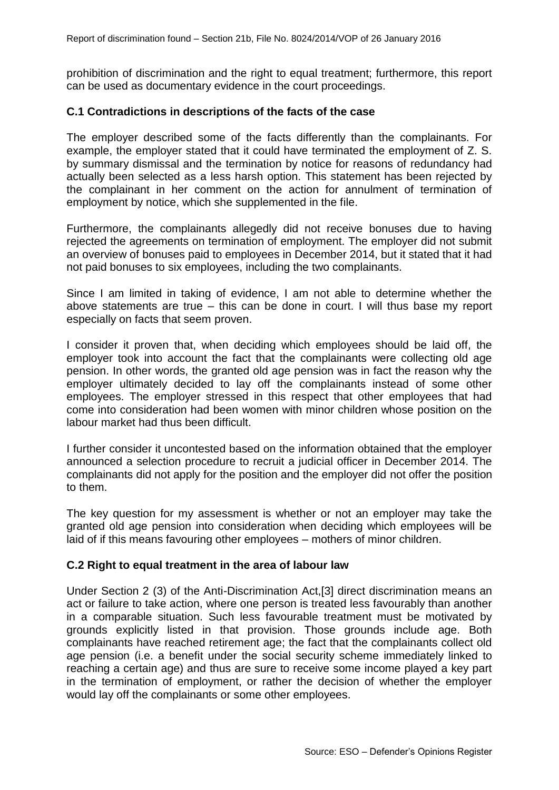prohibition of discrimination and the right to equal treatment; furthermore, this report can be used as documentary evidence in the court proceedings.

#### **C.1 Contradictions in descriptions of the facts of the case**

The employer described some of the facts differently than the complainants. For example, the employer stated that it could have terminated the employment of Z. S. by summary dismissal and the termination by notice for reasons of redundancy had actually been selected as a less harsh option. This statement has been rejected by the complainant in her comment on the action for annulment of termination of employment by notice, which she supplemented in the file.

Furthermore, the complainants allegedly did not receive bonuses due to having rejected the agreements on termination of employment. The employer did not submit an overview of bonuses paid to employees in December 2014, but it stated that it had not paid bonuses to six employees, including the two complainants.

Since I am limited in taking of evidence, I am not able to determine whether the above statements are true – this can be done in court. I will thus base my report especially on facts that seem proven.

I consider it proven that, when deciding which employees should be laid off, the employer took into account the fact that the complainants were collecting old age pension. In other words, the granted old age pension was in fact the reason why the employer ultimately decided to lay off the complainants instead of some other employees. The employer stressed in this respect that other employees that had come into consideration had been women with minor children whose position on the labour market had thus been difficult.

I further consider it uncontested based on the information obtained that the employer announced a selection procedure to recruit a judicial officer in December 2014. The complainants did not apply for the position and the employer did not offer the position to them.

The key question for my assessment is whether or not an employer may take the granted old age pension into consideration when deciding which employees will be laid of if this means favouring other employees – mothers of minor children.

#### **C.2 Right to equal treatment in the area of labour law**

Under Section 2 (3) of the Anti-Discrimination Act,[3] direct discrimination means an act or failure to take action, where one person is treated less favourably than another in a comparable situation. Such less favourable treatment must be motivated by grounds explicitly listed in that provision. Those grounds include age. Both complainants have reached retirement age; the fact that the complainants collect old age pension (i.e. a benefit under the social security scheme immediately linked to reaching a certain age) and thus are sure to receive some income played a key part in the termination of employment, or rather the decision of whether the employer would lay off the complainants or some other employees.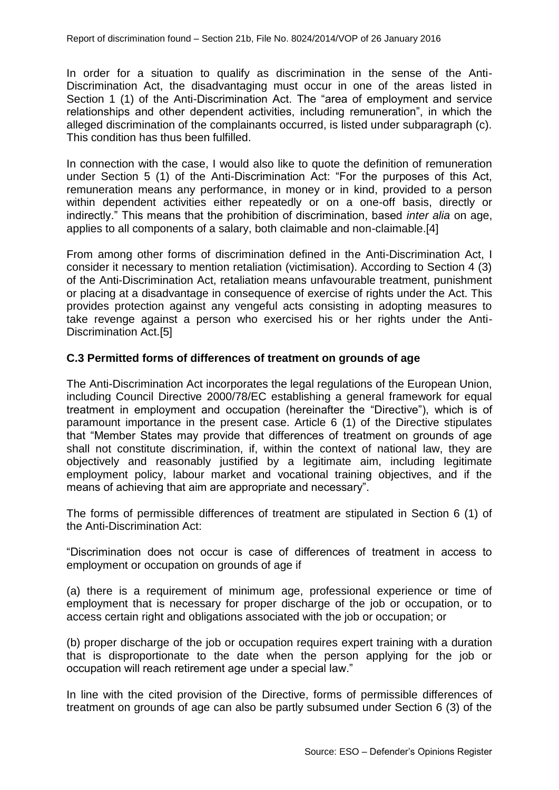In order for a situation to qualify as discrimination in the sense of the Anti-Discrimination Act, the disadvantaging must occur in one of the areas listed in Section 1 (1) of the Anti-Discrimination Act. The "area of employment and service relationships and other dependent activities, including remuneration", in which the alleged discrimination of the complainants occurred, is listed under subparagraph (c). This condition has thus been fulfilled.

In connection with the case, I would also like to quote the definition of remuneration under Section 5 (1) of the Anti-Discrimination Act: "For the purposes of this Act, remuneration means any performance, in money or in kind, provided to a person within dependent activities either repeatedly or on a one-off basis, directly or indirectly." This means that the prohibition of discrimination, based *inter alia* on age, applies to all components of a salary, both claimable and non-claimable.[4]

From among other forms of discrimination defined in the Anti-Discrimination Act, I consider it necessary to mention retaliation (victimisation). According to Section 4 (3) of the Anti-Discrimination Act, retaliation means unfavourable treatment, punishment or placing at a disadvantage in consequence of exercise of rights under the Act. This provides protection against any vengeful acts consisting in adopting measures to take revenge against a person who exercised his or her rights under the Anti-Discrimination Act.[5]

# **C.3 Permitted forms of differences of treatment on grounds of age**

The Anti-Discrimination Act incorporates the legal regulations of the European Union, including Council Directive 2000/78/EC establishing a general framework for equal treatment in employment and occupation (hereinafter the "Directive"), which is of paramount importance in the present case. Article 6 (1) of the Directive stipulates that "Member States may provide that differences of treatment on grounds of age shall not constitute discrimination, if, within the context of national law, they are objectively and reasonably justified by a legitimate aim, including legitimate employment policy, labour market and vocational training objectives, and if the means of achieving that aim are appropriate and necessary".

The forms of permissible differences of treatment are stipulated in Section 6 (1) of the Anti-Discrimination Act:

"Discrimination does not occur is case of differences of treatment in access to employment or occupation on grounds of age if

(a) there is a requirement of minimum age, professional experience or time of employment that is necessary for proper discharge of the job or occupation, or to access certain right and obligations associated with the job or occupation; or

(b) proper discharge of the job or occupation requires expert training with a duration that is disproportionate to the date when the person applying for the job or occupation will reach retirement age under a special law."

In line with the cited provision of the Directive, forms of permissible differences of treatment on grounds of age can also be partly subsumed under Section 6 (3) of the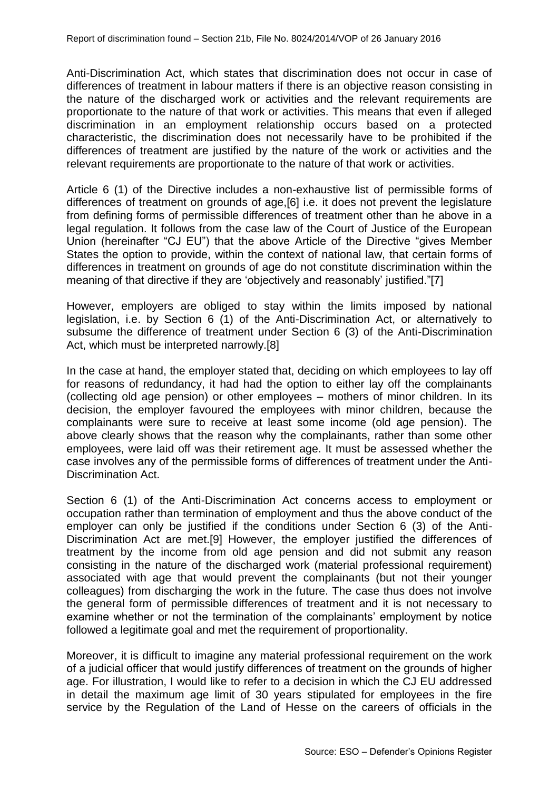Anti-Discrimination Act, which states that discrimination does not occur in case of differences of treatment in labour matters if there is an objective reason consisting in the nature of the discharged work or activities and the relevant requirements are proportionate to the nature of that work or activities. This means that even if alleged discrimination in an employment relationship occurs based on a protected characteristic, the discrimination does not necessarily have to be prohibited if the differences of treatment are justified by the nature of the work or activities and the relevant requirements are proportionate to the nature of that work or activities.

Article 6 (1) of the Directive includes a non-exhaustive list of permissible forms of differences of treatment on grounds of age,[6] i.e. it does not prevent the legislature from defining forms of permissible differences of treatment other than he above in a legal regulation. It follows from the case law of the Court of Justice of the European Union (hereinafter "CJ EU") that the above Article of the Directive "gives Member States the option to provide, within the context of national law, that certain forms of differences in treatment on grounds of age do not constitute discrimination within the meaning of that directive if they are 'objectively and reasonably' justified."[7]

However, employers are obliged to stay within the limits imposed by national legislation, i.e. by Section 6 (1) of the Anti-Discrimination Act, or alternatively to subsume the difference of treatment under Section 6 (3) of the Anti-Discrimination Act, which must be interpreted narrowly.[8]

In the case at hand, the employer stated that, deciding on which employees to lay off for reasons of redundancy, it had had the option to either lay off the complainants (collecting old age pension) or other employees – mothers of minor children. In its decision, the employer favoured the employees with minor children, because the complainants were sure to receive at least some income (old age pension). The above clearly shows that the reason why the complainants, rather than some other employees, were laid off was their retirement age. It must be assessed whether the case involves any of the permissible forms of differences of treatment under the Anti-Discrimination Act.

Section 6 (1) of the Anti-Discrimination Act concerns access to employment or occupation rather than termination of employment and thus the above conduct of the employer can only be justified if the conditions under Section 6 (3) of the Anti-Discrimination Act are met.[9] However, the employer justified the differences of treatment by the income from old age pension and did not submit any reason consisting in the nature of the discharged work (material professional requirement) associated with age that would prevent the complainants (but not their younger colleagues) from discharging the work in the future. The case thus does not involve the general form of permissible differences of treatment and it is not necessary to examine whether or not the termination of the complainants' employment by notice followed a legitimate goal and met the requirement of proportionality.

Moreover, it is difficult to imagine any material professional requirement on the work of a judicial officer that would justify differences of treatment on the grounds of higher age. For illustration, I would like to refer to a decision in which the CJ EU addressed in detail the maximum age limit of 30 years stipulated for employees in the fire service by the Regulation of the Land of Hesse on the careers of officials in the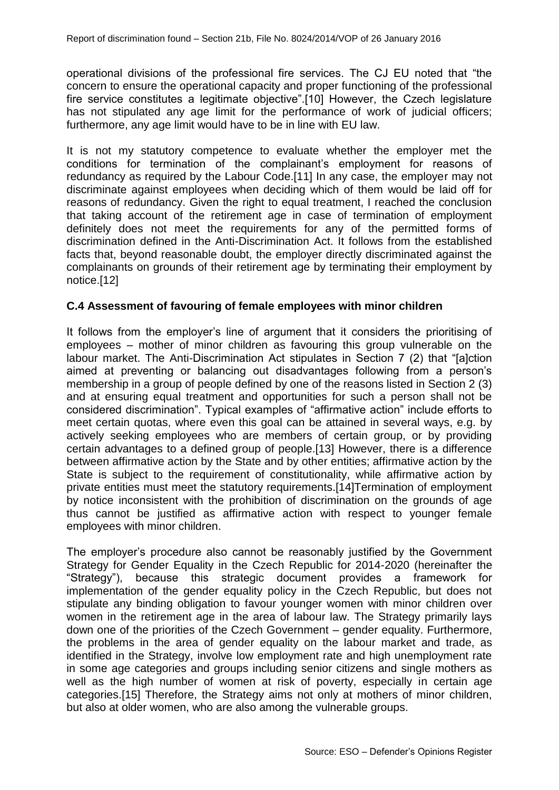operational divisions of the professional fire services. The CJ EU noted that "the concern to ensure the operational capacity and proper functioning of the professional fire service constitutes a legitimate objective".[10] However, the Czech legislature has not stipulated any age limit for the performance of work of judicial officers; furthermore, any age limit would have to be in line with EU law.

It is not my statutory competence to evaluate whether the employer met the conditions for termination of the complainant's employment for reasons of redundancy as required by the Labour Code.[11] In any case, the employer may not discriminate against employees when deciding which of them would be laid off for reasons of redundancy. Given the right to equal treatment, I reached the conclusion that taking account of the retirement age in case of termination of employment definitely does not meet the requirements for any of the permitted forms of discrimination defined in the Anti-Discrimination Act. It follows from the established facts that, beyond reasonable doubt, the employer directly discriminated against the complainants on grounds of their retirement age by terminating their employment by notice.[12]

#### **C.4 Assessment of favouring of female employees with minor children**

It follows from the employer's line of argument that it considers the prioritising of employees – mother of minor children as favouring this group vulnerable on the labour market. The Anti-Discrimination Act stipulates in Section 7 (2) that "[a]ction aimed at preventing or balancing out disadvantages following from a person's membership in a group of people defined by one of the reasons listed in Section 2 (3) and at ensuring equal treatment and opportunities for such a person shall not be considered discrimination". Typical examples of "affirmative action" include efforts to meet certain quotas, where even this goal can be attained in several ways, e.g. by actively seeking employees who are members of certain group, or by providing certain advantages to a defined group of people.[13] However, there is a difference between affirmative action by the State and by other entities; affirmative action by the State is subject to the requirement of constitutionality, while affirmative action by private entities must meet the statutory requirements.[14]Termination of employment by notice inconsistent with the prohibition of discrimination on the grounds of age thus cannot be justified as affirmative action with respect to younger female employees with minor children.

The employer's procedure also cannot be reasonably justified by the Government Strategy for Gender Equality in the Czech Republic for 2014-2020 (hereinafter the "Strategy"), because this strategic document provides a framework for implementation of the gender equality policy in the Czech Republic, but does not stipulate any binding obligation to favour younger women with minor children over women in the retirement age in the area of labour law. The Strategy primarily lays down one of the priorities of the Czech Government – gender equality. Furthermore, the problems in the area of gender equality on the labour market and trade, as identified in the Strategy, involve low employment rate and high unemployment rate in some age categories and groups including senior citizens and single mothers as well as the high number of women at risk of poverty, especially in certain age categories.[15] Therefore, the Strategy aims not only at mothers of minor children, but also at older women, who are also among the vulnerable groups.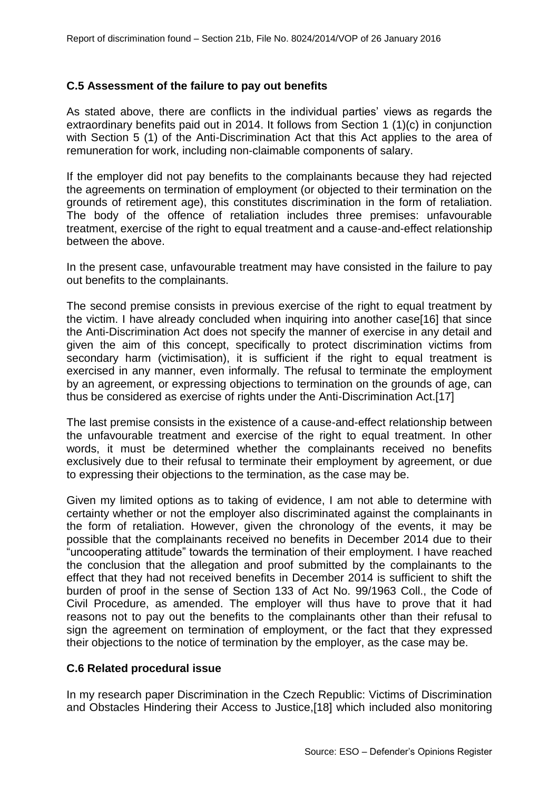# **C.5 Assessment of the failure to pay out benefits**

As stated above, there are conflicts in the individual parties' views as regards the extraordinary benefits paid out in 2014. It follows from Section 1 (1)(c) in conjunction with Section 5 (1) of the Anti-Discrimination Act that this Act applies to the area of remuneration for work, including non-claimable components of salary.

If the employer did not pay benefits to the complainants because they had rejected the agreements on termination of employment (or objected to their termination on the grounds of retirement age), this constitutes discrimination in the form of retaliation. The body of the offence of retaliation includes three premises: unfavourable treatment, exercise of the right to equal treatment and a cause-and-effect relationship between the above.

In the present case, unfavourable treatment may have consisted in the failure to pay out benefits to the complainants.

The second premise consists in previous exercise of the right to equal treatment by the victim. I have already concluded when inquiring into another case[16] that since the Anti-Discrimination Act does not specify the manner of exercise in any detail and given the aim of this concept, specifically to protect discrimination victims from secondary harm (victimisation), it is sufficient if the right to equal treatment is exercised in any manner, even informally. The refusal to terminate the employment by an agreement, or expressing objections to termination on the grounds of age, can thus be considered as exercise of rights under the Anti-Discrimination Act.[17]

The last premise consists in the existence of a cause-and-effect relationship between the unfavourable treatment and exercise of the right to equal treatment. In other words, it must be determined whether the complainants received no benefits exclusively due to their refusal to terminate their employment by agreement, or due to expressing their objections to the termination, as the case may be.

Given my limited options as to taking of evidence, I am not able to determine with certainty whether or not the employer also discriminated against the complainants in the form of retaliation. However, given the chronology of the events, it may be possible that the complainants received no benefits in December 2014 due to their "uncooperating attitude" towards the termination of their employment. I have reached the conclusion that the allegation and proof submitted by the complainants to the effect that they had not received benefits in December 2014 is sufficient to shift the burden of proof in the sense of Section 133 of Act No. 99/1963 Coll., the Code of Civil Procedure, as amended. The employer will thus have to prove that it had reasons not to pay out the benefits to the complainants other than their refusal to sign the agreement on termination of employment, or the fact that they expressed their objections to the notice of termination by the employer, as the case may be.

# **C.6 Related procedural issue**

In my research paper Discrimination in the Czech Republic: Victims of Discrimination and Obstacles Hindering their Access to Justice,[18] which included also monitoring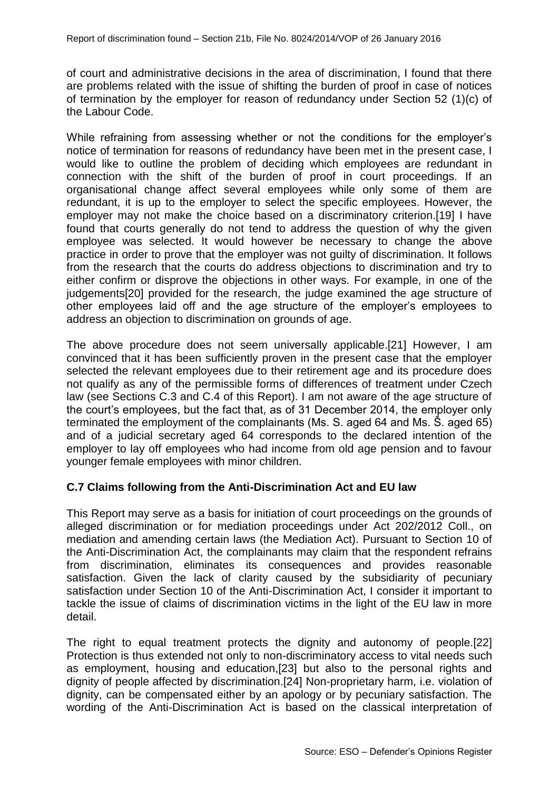of court and administrative decisions in the area of discrimination, I found that there are problems related with the issue of shifting the burden of proof in case of notices of termination by the employer for reason of redundancy under Section 52 (1)(c) of the Labour Code.

While refraining from assessing whether or not the conditions for the employer's notice of termination for reasons of redundancy have been met in the present case, I would like to outline the problem of deciding which employees are redundant in connection with the shift of the burden of proof in court proceedings. If an organisational change affect several employees while only some of them are redundant, it is up to the employer to select the specific employees. However, the employer may not make the choice based on a discriminatory criterion.[19] I have found that courts generally do not tend to address the question of why the given employee was selected. It would however be necessary to change the above practice in order to prove that the employer was not guilty of discrimination. It follows from the research that the courts do address objections to discrimination and try to either confirm or disprove the objections in other ways. For example, in one of the judgements[20] provided for the research, the judge examined the age structure of other employees laid off and the age structure of the employer's employees to address an objection to discrimination on grounds of age.

The above procedure does not seem universally applicable.[21] However, I am convinced that it has been sufficiently proven in the present case that the employer selected the relevant employees due to their retirement age and its procedure does not qualify as any of the permissible forms of differences of treatment under Czech law (see Sections C.3 and C.4 of this Report). I am not aware of the age structure of the court's employees, but the fact that, as of 31 December 2014, the employer only terminated the employment of the complainants (Ms. S. aged 64 and Ms. Š. aged 65) and of a judicial secretary aged 64 corresponds to the declared intention of the employer to lay off employees who had income from old age pension and to favour younger female employees with minor children.

# **C.7 Claims following from the Anti-Discrimination Act and EU law**

This Report may serve as a basis for initiation of court proceedings on the grounds of alleged discrimination or for mediation proceedings under Act 202/2012 Coll., on mediation and amending certain laws (the Mediation Act). Pursuant to Section 10 of the Anti-Discrimination Act, the complainants may claim that the respondent refrains from discrimination, eliminates its consequences and provides reasonable satisfaction. Given the lack of clarity caused by the subsidiarity of pecuniary satisfaction under Section 10 of the Anti-Discrimination Act, I consider it important to tackle the issue of claims of discrimination victims in the light of the EU law in more detail.

The right to equal treatment protects the dignity and autonomy of people.[22] Protection is thus extended not only to non-discriminatory access to vital needs such as employment, housing and education,[23] but also to the personal rights and dignity of people affected by discrimination.[24] Non-proprietary harm, i.e. violation of dignity, can be compensated either by an apology or by pecuniary satisfaction. The wording of the Anti-Discrimination Act is based on the classical interpretation of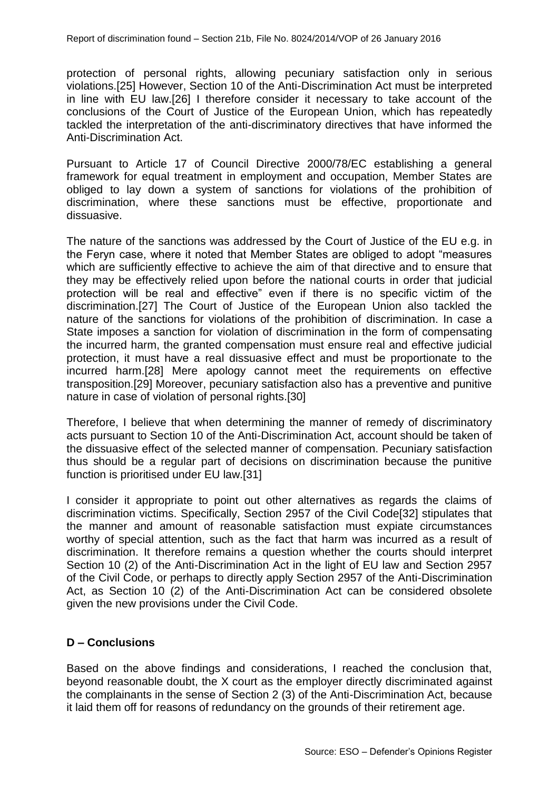protection of personal rights, allowing pecuniary satisfaction only in serious violations.[25] However, Section 10 of the Anti-Discrimination Act must be interpreted in line with EU law.[26] I therefore consider it necessary to take account of the conclusions of the Court of Justice of the European Union, which has repeatedly tackled the interpretation of the anti-discriminatory directives that have informed the Anti-Discrimination Act.

Pursuant to Article 17 of Council Directive 2000/78/EC establishing a general framework for equal treatment in employment and occupation, Member States are obliged to lay down a system of sanctions for violations of the prohibition of discrimination, where these sanctions must be effective, proportionate and dissuasive.

The nature of the sanctions was addressed by the Court of Justice of the EU e.g. in the Feryn case, where it noted that Member States are obliged to adopt "measures which are sufficiently effective to achieve the aim of that directive and to ensure that they may be effectively relied upon before the national courts in order that judicial protection will be real and effective" even if there is no specific victim of the discrimination.[27] The Court of Justice of the European Union also tackled the nature of the sanctions for violations of the prohibition of discrimination. In case a State imposes a sanction for violation of discrimination in the form of compensating the incurred harm, the granted compensation must ensure real and effective judicial protection, it must have a real dissuasive effect and must be proportionate to the incurred harm.[28] Mere apology cannot meet the requirements on effective transposition.[29] Moreover, pecuniary satisfaction also has a preventive and punitive nature in case of violation of personal rights.[30]

Therefore, I believe that when determining the manner of remedy of discriminatory acts pursuant to Section 10 of the Anti-Discrimination Act, account should be taken of the dissuasive effect of the selected manner of compensation. Pecuniary satisfaction thus should be a regular part of decisions on discrimination because the punitive function is prioritised under EU law.[31]

I consider it appropriate to point out other alternatives as regards the claims of discrimination victims. Specifically, Section 2957 of the Civil Code[32] stipulates that the manner and amount of reasonable satisfaction must expiate circumstances worthy of special attention, such as the fact that harm was incurred as a result of discrimination. It therefore remains a question whether the courts should interpret Section 10 (2) of the Anti-Discrimination Act in the light of EU law and Section 2957 of the Civil Code, or perhaps to directly apply Section 2957 of the Anti-Discrimination Act, as Section 10 (2) of the Anti-Discrimination Act can be considered obsolete given the new provisions under the Civil Code.

# **D – Conclusions**

Based on the above findings and considerations, I reached the conclusion that, beyond reasonable doubt, the X court as the employer directly discriminated against the complainants in the sense of Section 2 (3) of the Anti-Discrimination Act, because it laid them off for reasons of redundancy on the grounds of their retirement age.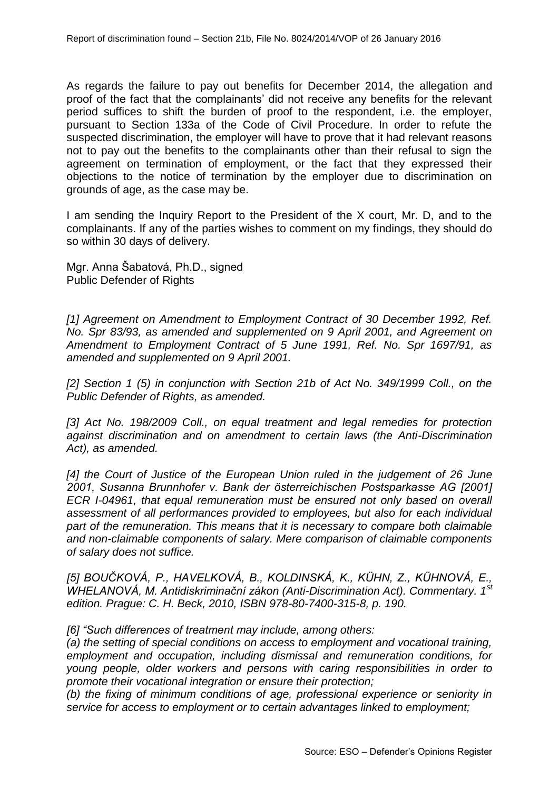As regards the failure to pay out benefits for December 2014, the allegation and proof of the fact that the complainants' did not receive any benefits for the relevant period suffices to shift the burden of proof to the respondent, i.e. the employer, pursuant to Section 133a of the Code of Civil Procedure. In order to refute the suspected discrimination, the employer will have to prove that it had relevant reasons not to pay out the benefits to the complainants other than their refusal to sign the agreement on termination of employment, or the fact that they expressed their objections to the notice of termination by the employer due to discrimination on grounds of age, as the case may be.

I am sending the Inquiry Report to the President of the X court, Mr. D, and to the complainants. If any of the parties wishes to comment on my findings, they should do so within 30 days of delivery.

Mgr. Anna Šabatová, Ph.D., signed Public Defender of Rights

*[1] Agreement on Amendment to Employment Contract of 30 December 1992, Ref. No. Spr 83/93, as amended and supplemented on 9 April 2001, and Agreement on Amendment to Employment Contract of 5 June 1991, Ref. No. Spr 1697/91, as amended and supplemented on 9 April 2001.*

*[2] Section 1 (5) in conjunction with Section 21b of Act No. 349/1999 Coll., on the Public Defender of Rights, as amended.*

*[3] Act No. 198/2009 Coll., on equal treatment and legal remedies for protection against discrimination and on amendment to certain laws (the Anti-Discrimination Act), as amended.*

*[4] the Court of Justice of the European Union ruled in the judgement of 26 June 2001, Susanna Brunnhofer v. Bank der österreichischen Postsparkasse AG [2001] ECR I-04961, that equal remuneration must be ensured not only based on overall assessment of all performances provided to employees, but also for each individual part of the remuneration. This means that it is necessary to compare both claimable and non-claimable components of salary. Mere comparison of claimable components of salary does not suffice.*

*[5] BOUČKOVÁ, P., HAVELKOVÁ, B., KOLDINSKÁ, K., KÜHN, Z., KÜHNOVÁ, E., WHELANOVÁ, M. Antidiskriminační zákon (Anti-Discrimination Act). Commentary. 1st edition. Prague: C. H. Beck, 2010, ISBN 978-80-7400-315-8, p. 190.*

#### *[6] "Such differences of treatment may include, among others:*

*(a) the setting of special conditions on access to employment and vocational training, employment and occupation, including dismissal and remuneration conditions, for young people, older workers and persons with caring responsibilities in order to promote their vocational integration or ensure their protection;*

*(b) the fixing of minimum conditions of age, professional experience or seniority in service for access to employment or to certain advantages linked to employment;*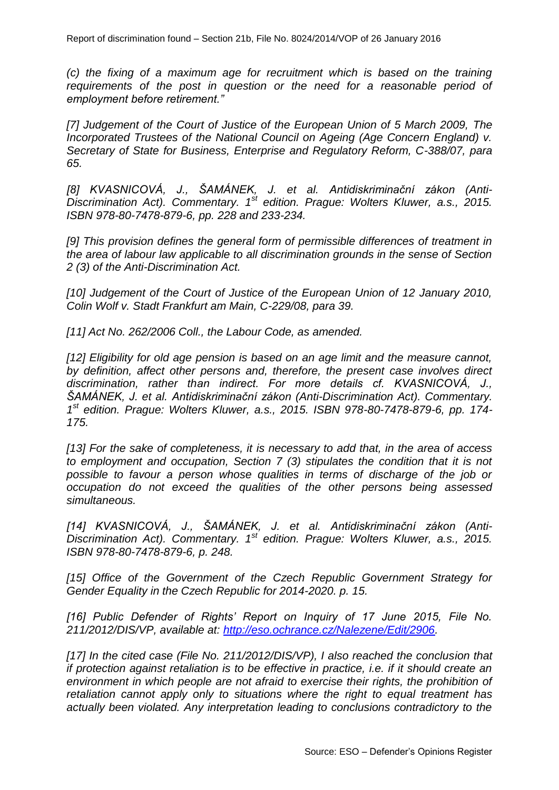*(c) the fixing of a maximum age for recruitment which is based on the training*  requirements of the post in question or the need for a reasonable period of *employment before retirement."*

*[7] Judgement of the Court of Justice of the European Union of 5 March 2009, The Incorporated Trustees of the National Council on Ageing (Age Concern England) v. Secretary of State for Business, Enterprise and Regulatory Reform, C-388/07, para 65.*

*[8] KVASNICOVÁ, J., ŠAMÁNEK, J. et al. Antidiskriminační zákon (Anti-Discrimination Act). Commentary. 1st edition. Prague: Wolters Kluwer, a.s., 2015. ISBN 978-80-7478-879-6, pp. 228 and 233-234.*

*[9] This provision defines the general form of permissible differences of treatment in the area of labour law applicable to all discrimination grounds in the sense of Section 2 (3) of the Anti-Discrimination Act.*

*[10] Judgement of the Court of Justice of the European Union of 12 January 2010, Colin Wolf v. Stadt Frankfurt am Main, C-229/08, para 39.*

*[11] Act No. 262/2006 Coll., the Labour Code, as amended.*

*[12] Eligibility for old age pension is based on an age limit and the measure cannot, by definition, affect other persons and, therefore, the present case involves direct discrimination, rather than indirect. For more details cf. KVASNICOVÁ, J., ŠAMÁNEK, J. et al. Antidiskriminační zákon (Anti-Discrimination Act). Commentary. 1 st edition. Prague: Wolters Kluwer, a.s., 2015. ISBN 978-80-7478-879-6, pp. 174- 175.*

*[13] For the sake of completeness, it is necessary to add that, in the area of access to employment and occupation, Section 7 (3) stipulates the condition that it is not possible to favour a person whose qualities in terms of discharge of the job or occupation do not exceed the qualities of the other persons being assessed simultaneous.*

*[14] KVASNICOVÁ, J., ŠAMÁNEK, J. et al. Antidiskriminační zákon (Anti-Discrimination Act). Commentary. 1st edition. Prague: Wolters Kluwer, a.s., 2015. ISBN 978-80-7478-879-6, p. 248.*

*[15] Office of the Government of the Czech Republic Government Strategy for Gender Equality in the Czech Republic for 2014-2020. p. 15.*

*[16] Public Defender of Rights' Report on Inquiry of 17 June 2015, File No. 211/2012/DIS/VP, available at: [http://eso.ochrance.cz/Nalezene/Edit/2906.](http://eso.ochrance.cz/Nalezene/Edit/2906)* 

*[17] In the cited case (File No. 211/2012/DIS/VP), I also reached the conclusion that if protection against retaliation is to be effective in practice, i.e. if it should create an environment in which people are not afraid to exercise their rights, the prohibition of retaliation cannot apply only to situations where the right to equal treatment has actually been violated. Any interpretation leading to conclusions contradictory to the*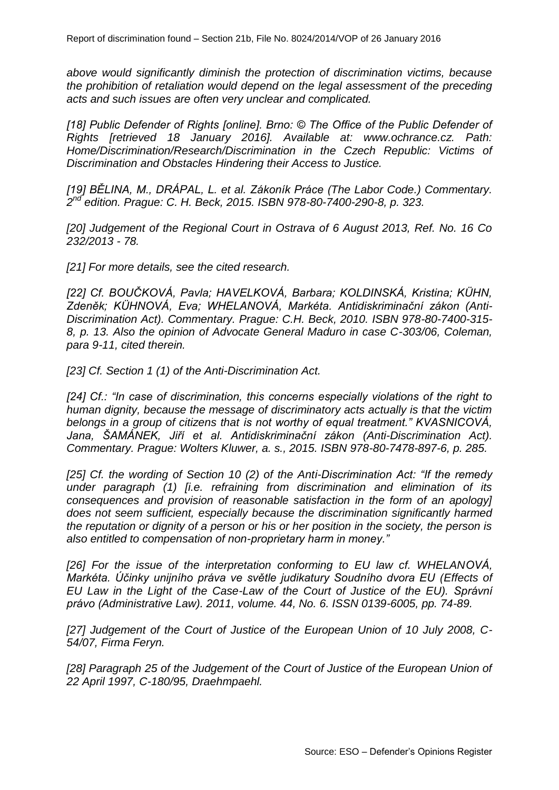*above would significantly diminish the protection of discrimination victims, because the prohibition of retaliation would depend on the legal assessment of the preceding acts and such issues are often very unclear and complicated.* 

*[18] Public Defender of Rights [online]. Brno: © The Office of the Public Defender of Rights [retrieved 18 January 2016]. Available at: www.ochrance.cz. Path: Home/Discrimination/Research/Discrimination in the Czech Republic: Victims of Discrimination and Obstacles Hindering their Access to Justice.*

*[19] BĚLINA, M., DRÁPAL, L. et al. Zákoník Práce (The Labor Code.) Commentary. 2 nd edition. Prague: C. H. Beck, 2015. ISBN 978-80-7400-290-8, p. 323.*

*[20] Judgement of the Regional Court in Ostrava of 6 August 2013, Ref. No. 16 Co 232/2013 - 78.*

*[21] For more details, see the cited research.*

*[22] Cf. BOUČKOVÁ, Pavla; HAVELKOVÁ, Barbara; KOLDINSKÁ, Kristina; KÜHN, Zdeněk; KÜHNOVÁ, Eva; WHELANOVÁ, Markéta. Antidiskriminační zákon (Anti-Discrimination Act). Commentary. Prague: C.H. Beck, 2010. ISBN 978-80-7400-315- 8, p. 13. Also the opinion of Advocate General Maduro in case C-303/06, Coleman, para 9-11, cited therein.*

*[23] Cf. Section 1 (1) of the Anti-Discrimination Act.*

*[24] Cf.: "In case of discrimination, this concerns especially violations of the right to human dignity, because the message of discriminatory acts actually is that the victim belongs in a group of citizens that is not worthy of equal treatment." KVASNICOVÁ,*  Jana, ŠAMÁNEK, Jiří et al. Antidiskriminační zákon (Anti-Discrimination Act). *Commentary. Prague: Wolters Kluwer, a. s., 2015. ISBN 978-80-7478-897-6, p. 285.*

*[25] Cf. the wording of Section 10 (2) of the Anti-Discrimination Act: "If the remedy under paragraph (1) [i.e. refraining from discrimination and elimination of its consequences and provision of reasonable satisfaction in the form of an apology] does not seem sufficient, especially because the discrimination significantly harmed the reputation or dignity of a person or his or her position in the society, the person is also entitled to compensation of non-proprietary harm in money."*

*[26] For the issue of the interpretation conforming to EU law cf. WHELANOVÁ, Markéta. Účinky unijního práva ve světle judikatury Soudního dvora EU (Effects of EU Law in the Light of the Case-Law of the Court of Justice of the EU). Správní právo (Administrative Law). 2011, volume. 44, No. 6. ISSN 0139-6005, pp. 74-89.*

*[27] Judgement of the Court of Justice of the European Union of 10 July 2008, C-54/07, Firma Feryn.*

[28] Paragraph 25 of the Judgement of the Court of Justice of the European Union of *22 April 1997, C-180/95, Draehmpaehl.*